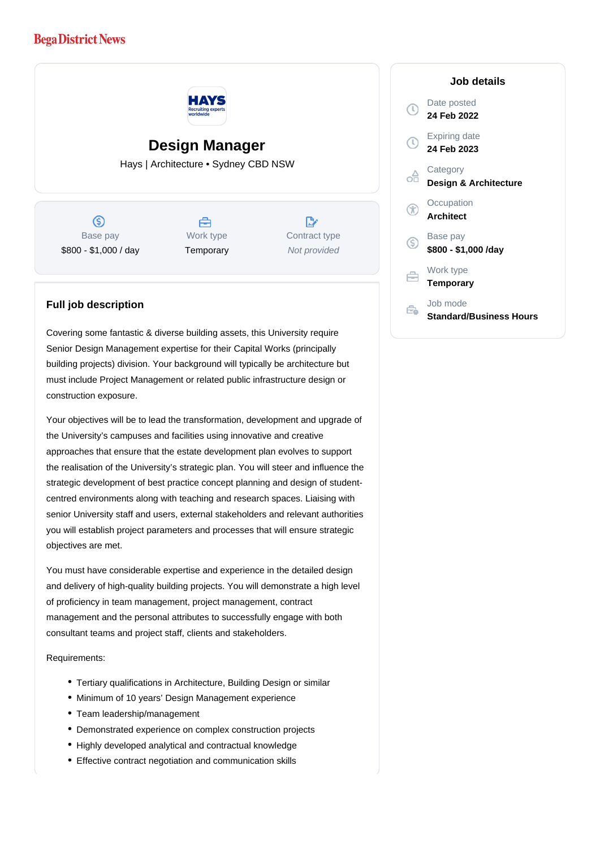## **Bega District News**



## **Design Manager**

Hays | Architecture • Sydney CBD NSW

 $\circ$ Base pay \$800 - \$1,000 / day



 $\mathbb{R}$ Contract type Not provided

## **Full job description**

Covering some fantastic & diverse building assets, this University require Senior Design Management expertise for their Capital Works (principally building projects) division. Your background will typically be architecture but must include Project Management or related public infrastructure design or construction exposure.

Your objectives will be to lead the transformation, development and upgrade of the University's campuses and facilities using innovative and creative approaches that ensure that the estate development plan evolves to support the realisation of the University's strategic plan. You will steer and influence the strategic development of best practice concept planning and design of studentcentred environments along with teaching and research spaces. Liaising with senior University staff and users, external stakeholders and relevant authorities you will establish project parameters and processes that will ensure strategic objectives are met.

You must have considerable expertise and experience in the detailed design and delivery of high-quality building projects. You will demonstrate a high level of proficiency in team management, project management, contract management and the personal attributes to successfully engage with both consultant teams and project staff, clients and stakeholders.

Requirements:

- Tertiary qualifications in Architecture, Building Design or similar
- Minimum of 10 years' Design Management experience
- Team leadership/management
- Demonstrated experience on complex construction projects
- Highly developed analytical and contractual knowledge
- Effective contract negotiation and communication skills

## **Job details** Date posted Œ **24 Feb 2022** Expiring date **24 Feb 2023 Category** œ **Design & Architecture Occupation Architect** Base pay **\$800 - \$1,000 /day** Work type 户 **Temporary** Job mode Ê. **Standard/Business Hours**